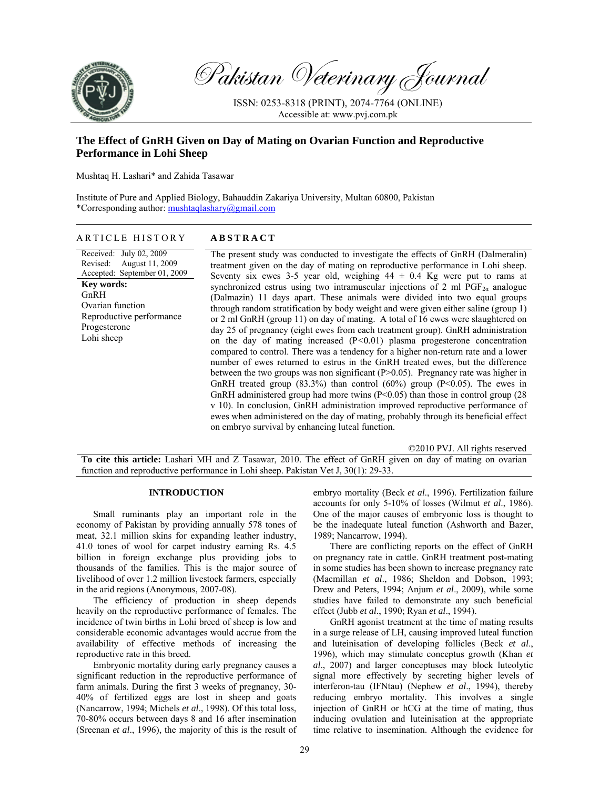

Pakistan Veterinary Journal

ISSN: 0253-8318 (PRINT), 2074-7764 (ONLINE) Accessible at: www.pvj.com.pk

# **The Effect of GnRH Given on Day of Mating on Ovarian Function and Reproductive Performance in Lohi Sheep**

Mushtaq H. Lashari\* and Zahida Tasawar

Institute of Pure and Applied Biology, Bahauddin Zakariya University, Multan 60800, Pakistan \*Corresponding author: mushtaqlashary@gmail.com

# ARTICLE HISTORY **ABSTRACT**

Received: July 02, 2009 Revised: August 11, 2009 Accepted: September 01, 2009 **Key words:**  GnRH Ovarian function Reproductive performance Progesterone Lohi sheep

The present study was conducted to investigate the effects of GnRH (Dalmeralin) treatment given on the day of mating on reproductive performance in Lohi sheep. Seventy six ewes 3-5 year old, weighing  $44 \pm 0.4$  Kg were put to rams at synchronized estrus using two intramuscular injections of 2 ml  $PGF_{2\alpha}$  analogue (Dalmazin) 11 days apart. These animals were divided into two equal groups through random stratification by body weight and were given either saline (group 1) or 2 ml GnRH (group 11) on day of mating. A total of 16 ewes were slaughtered on day 25 of pregnancy (eight ewes from each treatment group). GnRH administration on the day of mating increased (P*<*0*.*01) plasma progesterone concentration compared to control. There was a tendency for a higher non-return rate and a lower number of ewes returned to estrus in the GnRH treated ewes, but the difference between the two groups was non significant (P>0.05). Pregnancy rate was higher in GnRH treated group  $(83.3\%)$  than control  $(60\%)$  group  $(P<0.05)$ . The ewes in GnRH administered group had more twins (P<0.05) than those in control group (28 v 10). In conclusion, GnRH administration improved reproductive performance of ewes when administered on the day of mating, probably through its beneficial effect on embryo survival by enhancing luteal function.

©2010 PVJ. All rights reserved

**To cite this article:** Lashari MH and Z Tasawar, 2010. The effect of GnRH given on day of mating on ovarian function and reproductive performance in Lohi sheep. Pakistan Vet J, 30(1): 29-33.

#### **INTRODUCTION**

Small ruminants play an important role in the economy of Pakistan by providing annually 578 tones of meat, 32.1 million skins for expanding leather industry, 41.0 tones of wool for carpet industry earning Rs. 4.5 billion in foreign exchange plus providing jobs to thousands of the families. This is the major source of livelihood of over 1.2 million livestock farmers, especially in the arid regions (Anonymous, 2007-08).

The efficiency of production in sheep depends heavily on the reproductive performance of females. The incidence of twin births in Lohi breed of sheep is low and considerable economic advantages would accrue from the availability of effective methods of increasing the reproductive rate in this breed.

Embryonic mortality during early pregnancy causes a significant reduction in the reproductive performance of farm animals. During the first 3 weeks of pregnancy, 30- 40% of fertilized eggs are lost in sheep and goats (Nancarrow, 1994; Michels *et al*., 1998). Of this total loss, 70-80% occurs between days 8 and 16 after insemination (Sreenan *et al*., 1996), the majority of this is the result of embryo mortality (Beck *et al*., 1996). Fertilization failure accounts for only 5-10% of losses (Wilmut *et al*., 1986). One of the major causes of embryonic loss is thought to be the inadequate luteal function (Ashworth and Bazer, 1989; Nancarrow, 1994).

There are conflicting reports on the effect of GnRH on pregnancy rate in cattle. GnRH treatment post-mating in some studies has been shown to increase pregnancy rate (Macmillan *et al*., 1986; Sheldon and Dobson, 1993; Drew and Peters, 1994; Anjum *et al*., 2009), while some studies have failed to demonstrate any such beneficial effect (Jubb *et al*., 1990; Ryan *et al*., 1994).

GnRH agonist treatment at the time of mating results in a surge release of LH, causing improved luteal function and luteinisation of developing follicles (Beck *et al*., 1996), which may stimulate conceptus growth (Khan *et al*., 2007) and larger conceptuses may block luteolytic signal more effectively by secreting higher levels of interferon-tau (IFNtau) (Nephew *et al*., 1994), thereby reducing embryo mortality. This involves a single injection of GnRH or hCG at the time of mating, thus inducing ovulation and luteinisation at the appropriate time relative to insemination. Although the evidence for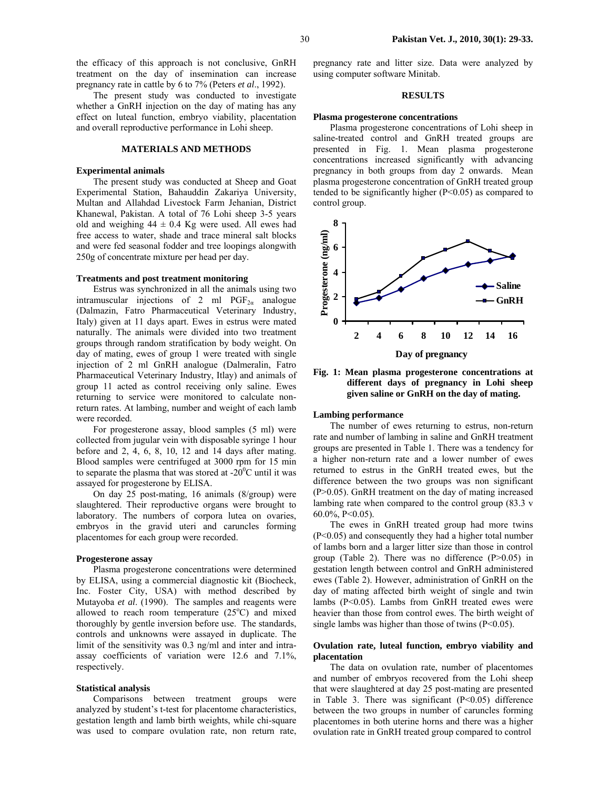the efficacy of this approach is not conclusive, GnRH treatment on the day of insemination can increase pregnancy rate in cattle by 6 to 7% (Peters *et al*., 1992).

The present study was conducted to investigate whether a GnRH injection on the day of mating has any effect on luteal function, embryo viability, placentation and overall reproductive performance in Lohi sheep.

## **MATERIALS AND METHODS**

#### **Experimental animals**

The present study was conducted at Sheep and Goat Experimental Station, Bahauddin Zakariya University, Multan and Allahdad Livestock Farm Jehanian, District Khanewal, Pakistan. A total of 76 Lohi sheep 3-5 years old and weighing  $44 \pm 0.4$  Kg were used. All ewes had free access to water, shade and trace mineral salt blocks and were fed seasonal fodder and tree loopings alongwith 250g of concentrate mixture per head per day.

## **Treatments and post treatment monitoring**

Estrus was synchronized in all the animals using two intramuscular injections of 2 ml  $PGF_{2\alpha}$  analogue (Dalmazin, Fatro Pharmaceutical Veterinary Industry, Italy) given at 11 days apart. Ewes in estrus were mated naturally. The animals were divided into two treatment groups through random stratification by body weight. On day of mating, ewes of group 1 were treated with single injection of 2 ml GnRH analogue (Dalmeralin, Fatro Pharmaceutical Veterinary Industry, Itlay) and animals of group 11 acted as control receiving only saline. Ewes returning to service were monitored to calculate nonreturn rates. At lambing, number and weight of each lamb were recorded.

For progesterone assay, blood samples (5 ml) were collected from jugular vein with disposable syringe 1 hour before and 2, 4, 6, 8, 10, 12 and 14 days after mating. Blood samples were centrifuged at 3000 rpm for 15 min to separate the plasma that was stored at  $-20^{\circ}$ C until it was assayed for progesterone by ELISA.

On day 25 post-mating, 16 animals (8/group) were slaughtered. Their reproductive organs were brought to laboratory. The numbers of corpora lutea on ovaries, embryos in the gravid uteri and caruncles forming placentomes for each group were recorded.

#### **Progesterone assay**

Plasma progesterone concentrations were determined by ELISA, using a commercial diagnostic kit (Biocheck, Inc. Foster City, USA) with method described by Mutayoba *et al*. (1990). The samples and reagents were allowed to reach room temperature  $(25^{\circ}C)$  and mixed thoroughly by gentle inversion before use. The standards, controls and unknowns were assayed in duplicate. The limit of the sensitivity was 0.3 ng/ml and inter and intraassay coefficients of variation were 12.6 and 7.1%, respectively.

#### **Statistical analysis**

Comparisons between treatment groups were analyzed by student's t-test for placentome characteristics, gestation length and lamb birth weights, while chi-square was used to compare ovulation rate, non return rate,

pregnancy rate and litter size. Data were analyzed by using computer software Minitab.

#### **RESULTS**

#### **Plasma progesterone concentrations**

Plasma progesterone concentrations of Lohi sheep in saline-treated control and GnRH treated groups are presented in Fig. 1. Mean plasma progesterone concentrations increased significantly with advancing pregnancy in both groups from day 2 onwards. Mean plasma progesterone concentration of GnRH treated group tended to be significantly higher (P<0.05) as compared to control group.



**Fig. 1: Mean plasma progesterone concentrations at different days of pregnancy in Lohi sheep given saline or GnRH on the day of mating.** 

## **Lambing performance**

The number of ewes returning to estrus, non-return rate and number of lambing in saline and GnRH treatment groups are presented in Table 1. There was a tendency for a higher non-return rate and a lower number of ewes returned to estrus in the GnRH treated ewes, but the difference between the two groups was non significant (P>0.05). GnRH treatment on the day of mating increased lambing rate when compared to the control group (83.3 v 60.0%, P<0.05).

The ewes in GnRH treated group had more twins (P<0.05) and consequently they had a higher total number of lambs born and a larger litter size than those in control group (Table 2). There was no difference  $(P>0.05)$  in gestation length between control and GnRH administered ewes (Table 2). However, administration of GnRH on the day of mating affected birth weight of single and twin lambs (P<0.05). Lambs from GnRH treated ewes were heavier than those from control ewes. The birth weight of single lambs was higher than those of twins (P<0.05).

# **Ovulation rate, luteal function, embryo viability and placentation**

The data on ovulation rate, number of placentomes and number of embryos recovered from the Lohi sheep that were slaughtered at day 25 post-mating are presented in Table 3. There was significant  $(P<0.05)$  difference between the two groups in number of caruncles forming placentomes in both uterine horns and there was a higher ovulation rate in GnRH treated group compared to control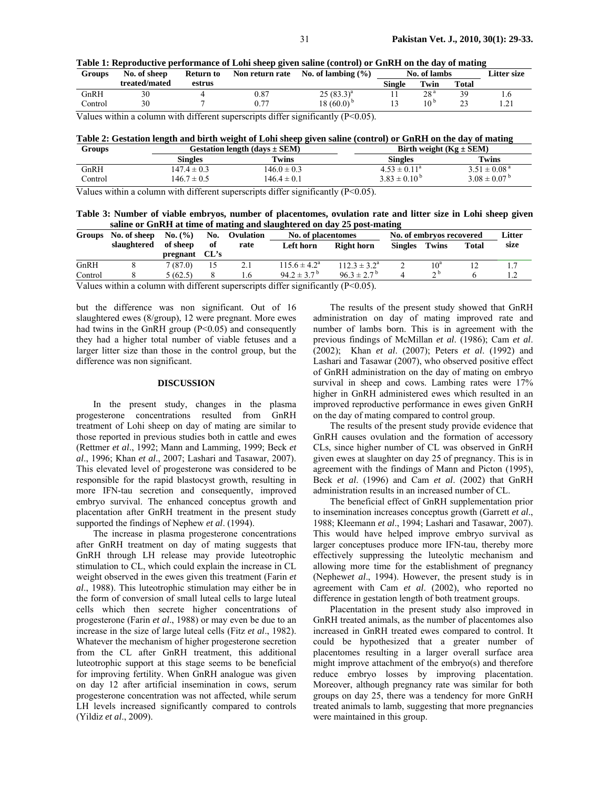|  |  |                                                                                 | Table 1: Reproductive performance of Lohi sheep given saline (control) or GnRH on the day of mating |             |
|--|--|---------------------------------------------------------------------------------|-----------------------------------------------------------------------------------------------------|-------------|
|  |  | Groups No. of sheep Return to Non return rate No. of lambing $\left(\% \right)$ | No. of lambs                                                                                        | Litter size |

| Groups  | No. of sheep  | <b>Return to</b> | Non return rate | No. of lambing $(\% )$ | No. of lambs |      | <b>Litter size</b>       |  |
|---------|---------------|------------------|-----------------|------------------------|--------------|------|--------------------------|--|
|         | treated/mated | estrus           |                 |                        | Single       | Twin | <b>Total</b>             |  |
| GnRH    | 30            |                  | 0.87            | $25(83.3)^{a}$         |              | 28ª  | 39                       |  |
| Control |               |                  |                 | 18 $(60.0)^{b}$        |              | 10 º | $\mathbf{\Omega}$<br>ر ے |  |

Values within a column with different superscripts differ significantly  $(P<0.05)$ .

| Table 2: Gestation length and birth weight of Lohi sheep given saline (control) or GnRH on the day of mating |  |
|--------------------------------------------------------------------------------------------------------------|--|
|                                                                                                              |  |

| Groups  |                 | Gestation length $(days \pm SEM)$ | Birth weight $(Kg \pm SEM)$ |                            |  |  |
|---------|-----------------|-----------------------------------|-----------------------------|----------------------------|--|--|
|         | Singles         | Twins                             | Singles                     | Twins                      |  |  |
| GnRH    | $147.4 \pm 0.3$ | $146.0 \pm 0.3$                   | $4.53 \pm 0.11^a$           | $3.51 \pm 0.08^{\text{a}}$ |  |  |
| Control | $146.7 \pm 0.5$ | $146.4 \pm 0.1$                   | $3.83 \pm 0.10^{\circ}$     | $3.08 \pm 0.07^{\circ}$    |  |  |
|         |                 |                                   |                             |                            |  |  |

Values within a column with different superscripts differ significantly (P<0.05).

**Table 3: Number of viable embryos, number of placentomes, ovulation rate and litter size in Lohi sheep given saline or GnRH at time of mating and slaughtered on day 25 post-mating** 

| <b>Groups</b>                                                                                                                                                                                                                                                                                                                             | No. of sheep | No. (%)  | No.  | Ovulation | No. of placentomes          |                             | No. of embryos recovered |                 |              | Litter |
|-------------------------------------------------------------------------------------------------------------------------------------------------------------------------------------------------------------------------------------------------------------------------------------------------------------------------------------------|--------------|----------|------|-----------|-----------------------------|-----------------------------|--------------------------|-----------------|--------------|--------|
|                                                                                                                                                                                                                                                                                                                                           | slaughtered  | of sheep | of   | rate      | Left horn                   | <b>Right horn</b>           | <b>Singles</b>           | Twins           | <b>Total</b> | size   |
|                                                                                                                                                                                                                                                                                                                                           |              | pregnant | CL's |           |                             |                             |                          |                 |              |        |
| GnRH                                                                                                                                                                                                                                                                                                                                      |              | 7(87.0)  | 15   |           | $115.6 \pm 4.2^a$           | $112.3 \pm 3.2^a$           |                          | 10 <sup>a</sup> |              |        |
| Control                                                                                                                                                                                                                                                                                                                                   |              | 5(62.5)  |      | . .6      | $94.2 \pm 3.7^{\mathrm{b}}$ | $96.3 \pm 2.7^{\mathrm{b}}$ |                          | $\sim$ b        |              |        |
| $\mathbf{U}$ , $\mathbf{U}$ , $\mathbf{U}$ , $\mathbf{U}$ , $\mathbf{U}$ , $\mathbf{U}$ , $\mathbf{U}$ , $\mathbf{U}$ , $\mathbf{U}$ , $\mathbf{U}$ , $\mathbf{U}$ , $\mathbf{U}$ , $\mathbf{U}$ , $\mathbf{U}$ , $\mathbf{U}$ , $\mathbf{U}$ , $\mathbf{U}$ , $\mathbf{U}$ , $\mathbf{U}$ , $\mathbf{U}$ , $\mathbf{U}$ , $\mathbf{U}$ , |              |          |      |           |                             |                             |                          |                 |              |        |

Values within a column with different superscripts differ significantly  $(P<0.05)$ .

but the difference was non significant. Out of 16 slaughtered ewes (8/group), 12 were pregnant. More ewes had twins in the GnRH group (P<0.05) and consequently they had a higher total number of viable fetuses and a larger litter size than those in the control group, but the difference was non significant.

# **DISCUSSION**

In the present study, changes in the plasma progesterone concentrations resulted from GnRH treatment of Lohi sheep on day of mating are similar to those reported in previous studies both in cattle and ewes (Rettmer *et al*., 1992; Mann and Lamming, 1999; Beck *et al*., 1996; Khan *et al*., 2007; Lashari and Tasawar, 2007). This elevated level of progesterone was considered to be responsible for the rapid blastocyst growth, resulting in more IFN-tau secretion and consequently, improved embryo survival. The enhanced conceptus growth and placentation after GnRH treatment in the present study supported the findings of Nephew *et al*. (1994).

The increase in plasma progesterone concentrations after GnRH treatment on day of mating suggests that GnRH through LH release may provide luteotrophic stimulation to CL, which could explain the increase in CL weight observed in the ewes given this treatment (Farin *et al*., 1988). This luteotrophic stimulation may either be in the form of conversion of small luteal cells to large luteal cells which then secrete higher concentrations of progesterone (Farin *et al*., 1988) or may even be due to an increase in the size of large luteal cells (Fitz *et al*., 1982). Whatever the mechanism of higher progesterone secretion from the CL after GnRH treatment, this additional luteotrophic support at this stage seems to be beneficial for improving fertility. When GnRH analogue was given on day 12 after artificial insemination in cows, serum progesterone concentration was not affected, while serum LH levels increased significantly compared to controls (Yildiz *et al*., 2009).

The results of the present study showed that GnRH administration on day of mating improved rate and number of lambs born. This is in agreement with the previous findings of McMillan *et al*. (1986); Cam *et al*. (2002); Khan *et al*. (2007); Peters *et al*. (1992) and Lashari and Tasawar (2007), who observed positive effect of GnRH administration on the day of mating on embryo survival in sheep and cows. Lambing rates were 17% higher in GnRH administered ewes which resulted in an improved reproductive performance in ewes given GnRH on the day of mating compared to control group.

The results of the present study provide evidence that GnRH causes ovulation and the formation of accessory CLs, since higher number of CL was observed in GnRH given ewes at slaughter on day 25 of pregnancy. This is in agreement with the findings of Mann and Picton (1995), Beck *et al*. (1996) and Cam *et al*. (2002) that GnRH administration results in an increased number of CL.

The beneficial effect of GnRH supplementation prior to insemination increases conceptus growth (Garrett *et al*., 1988; Kleemann *et al*., 1994; Lashari and Tasawar, 2007). This would have helped improve embryo survival as larger conceptuses produce more IFN-tau, thereby more effectively suppressing the luteolytic mechanism and allowing more time for the establishment of pregnancy (Nephew*et al*., 1994). However, the present study is in agreement with Cam *et al*. (2002), who reported no difference in gestation length of both treatment groups.

Placentation in the present study also improved in GnRH treated animals, as the number of placentomes also increased in GnRH treated ewes compared to control. It could be hypothesized that a greater number of placentomes resulting in a larger overall surface area might improve attachment of the embryo(s) and therefore reduce embryo losses by improving placentation. Moreover, although pregnancy rate was similar for both groups on day 25, there was a tendency for more GnRH treated animals to lamb, suggesting that more pregnancies were maintained in this group.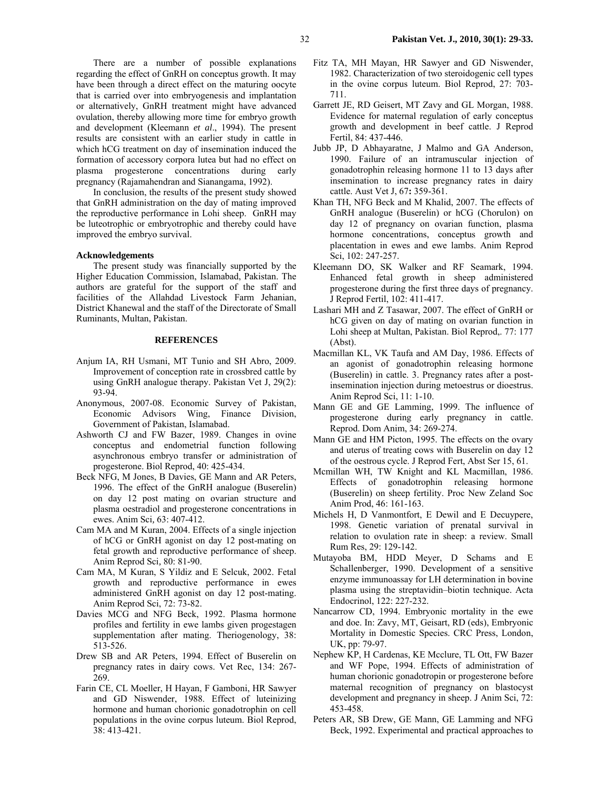There are a number of possible explanations regarding the effect of GnRH on conceptus growth. It may have been through a direct effect on the maturing oocyte that is carried over into embryogenesis and implantation or alternatively, GnRH treatment might have advanced ovulation, thereby allowing more time for embryo growth and development (Kleemann *et al*., 1994). The present results are consistent with an earlier study in cattle in which hCG treatment on day of insemination induced the formation of accessory corpora lutea but had no effect on plasma progesterone concentrations during early pregnancy (Rajamahendran and Sianangama, 1992).

In conclusion, the results of the present study showed that GnRH administration on the day of mating improved the reproductive performance in Lohi sheep. GnRH may be luteotrophic or embryotrophic and thereby could have improved the embryo survival.

# **Acknowledgements**

The present study was financially supported by the Higher Education Commission, Islamabad, Pakistan. The authors are grateful for the support of the staff and facilities of the Allahdad Livestock Farm Jehanian, District Khanewal and the staff of the Directorate of Small Ruminants, Multan, Pakistan.

## **REFERENCES**

- Anjum IA, RH Usmani, MT Tunio and SH Abro, 2009. Improvement of conception rate in crossbred cattle by using GnRH analogue therapy. Pakistan Vet J, 29(2): 93-94.
- Anonymous, 2007-08. Economic Survey of Pakistan, Economic Advisors Wing, Finance Division, Government of Pakistan, Islamabad.
- Ashworth CJ and FW Bazer, 1989. Changes in ovine conceptus and endometrial function following asynchronous embryo transfer or administration of progesterone. Biol Reprod, 40: 425-434.
- Beck NFG, M Jones, B Davies, GE Mann and AR Peters, 1996. The effect of the GnRH analogue (Buserelin) on day 12 post mating on ovarian structure and plasma oestradiol and progesterone concentrations in ewes. Anim Sci*,* 63: 407-412.
- Cam MA and M Kuran, 2004. Effects of a single injection of hCG or GnRH agonist on day 12 post-mating on fetal growth and reproductive performance of sheep. Anim Reprod Sci*,* 80: 81-90.
- Cam MA, M Kuran, S Yildiz and E Selcuk, 2002. Fetal growth and reproductive performance in ewes administered GnRH agonist on day 12 post-mating. Anim Reprod Sci, 72: 73-82.
- Davies MCG and NFG Beck, 1992. Plasma hormone profiles and fertility in ewe lambs given progestagen supplementation after mating. Theriogenology, 38: 513-526.
- Drew SB and AR Peters, 1994. Effect of Buserelin on pregnancy rates in dairy cows. Vet Rec, 134: 267- 269.
- Farin CE, CL Moeller, H Hayan, F Gamboni, HR Sawyer and GD Niswender, 1988. Effect of luteinizing hormone and human chorionic gonadotrophin on cell populations in the ovine corpus luteum. Biol Reprod, 38: 413-421.
- Fitz TA, MH Mayan, HR Sawyer and GD Niswender, 1982. Characterization of two steroidogenic cell types in the ovine corpus luteum. Biol Reprod, 27: 703- 711.
- Garrett JE, RD Geisert, MT Zavy and GL Morgan, 1988. Evidence for maternal regulation of early conceptus growth and development in beef cattle. J Reprod Fertil, 84: 437-446.
- Jubb JP, D Abhayaratne, J Malmo and GA Anderson, 1990. Failure of an intramuscular injection of gonadotrophin releasing hormone 11 to 13 days after insemination to increase pregnancy rates in dairy cattle. Aust Vet J, 67**:** 359-361.
- Khan TH, NFG Beck and M Khalid, 2007. The effects of GnRH analogue (Buserelin) or hCG (Chorulon) on day 12 of pregnancy on ovarian function, plasma hormone concentrations, conceptus growth and placentation in ewes and ewe lambs. Anim Reprod Sci, 102: 247-257.
- Kleemann DO, SK Walker and RF Seamark, 1994. Enhanced fetal growth in sheep administered progesterone during the first three days of pregnancy. J Reprod Fertil, 102: 411-417.
- Lashari MH and Z Tasawar, 2007. The effect of GnRH or hCG given on day of mating on ovarian function in Lohi sheep at Multan, Pakistan. Biol Reprod,. 77: 177 (Abst).
- Macmillan KL, VK Taufa and AM Day, 1986. Effects of an agonist of gonadotrophin releasing hormone (Buserelin) in cattle. 3. Pregnancy rates after a postinsemination injection during metoestrus or dioestrus. Anim Reprod Sci, 11: 1-10.
- Mann GE and GE Lamming, 1999. The influence of progesterone during early pregnancy in cattle. Reprod. Dom Anim, 34: 269-274.
- Mann GE and HM Picton, 1995. The effects on the ovary and uterus of treating cows with Buserelin on day 12 of the oestrous cycle. J Reprod Fert, Abst Ser 15, 61.
- Mcmillan WH, TW Knight and KL Macmillan, 1986. Effects of gonadotrophin releasing hormone (Buserelin) on sheep fertility. Proc New Zeland Soc Anim Prod, 46: 161-163.
- Michels H, D Vanmontfort, E Dewil and E Decuypere, 1998. Genetic variation of prenatal survival in relation to ovulation rate in sheep: a review. Small Rum Res, 29: 129-142.
- Mutayoba BM, HDD Meyer, D Schams and E Schallenberger, 1990. Development of a sensitive enzyme immunoassay for LH determination in bovine plasma using the streptavidin–biotin technique. Acta Endocrinol, 122: 227-232.
- Nancarrow CD, 1994. Embryonic mortality in the ewe and doe. In: Zavy, MT, Geisart, RD (eds), Embryonic Mortality in Domestic Species. CRC Press, London, UK, pp: 79-97.
- Nephew KP, H Cardenas, KE Mcclure, TL Ott, FW Bazer and WF Pope, 1994. Effects of administration of human chorionic gonadotropin or progesterone before maternal recognition of pregnancy on blastocyst development and pregnancy in sheep. J Anim Sci, 72: 453-458.
- Peters AR, SB Drew, GE Mann, GE Lamming and NFG Beck, 1992. Experimental and practical approaches to